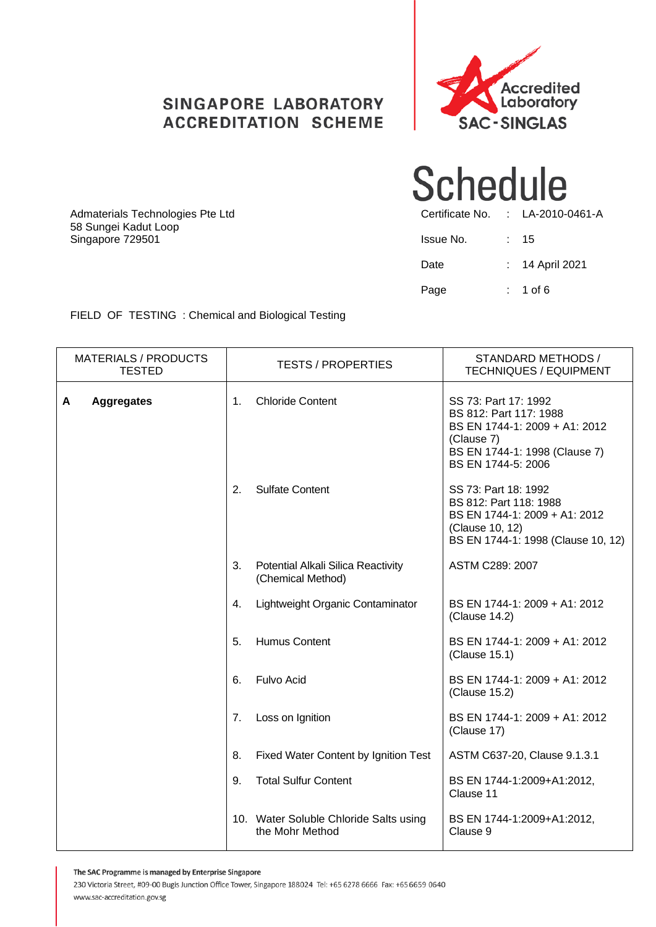#### **SINGAPORE LABORATORY ACCREDITATION SCHEME**





| Admaterials Technologies Pte Ltd         |           | Certificate No. : LA-2010-0461-A |
|------------------------------------------|-----------|----------------------------------|
| 58 Sungei Kadut Loop<br>Singapore 729501 | Issue No. | : 15                             |
|                                          | Date      | $: 14$ April 2021                |
|                                          | Page      | $: 1$ of 6                       |

FIELD OF TESTING : Chemical and Biological Testing

| <b>MATERIALS / PRODUCTS</b><br><b>TESTED</b> | <b>TESTS / PROPERTIES</b>                                     | STANDARD METHODS /<br><b>TECHNIQUES / EQUIPMENT</b>                                                                                                  |
|----------------------------------------------|---------------------------------------------------------------|------------------------------------------------------------------------------------------------------------------------------------------------------|
| A<br><b>Aggregates</b>                       | <b>Chloride Content</b><br>1 <sub>1</sub>                     | SS 73: Part 17: 1992<br>BS 812: Part 117: 1988<br>BS EN 1744-1: 2009 + A1: 2012<br>(Clause 7)<br>BS EN 1744-1: 1998 (Clause 7)<br>BS EN 1744-5: 2006 |
|                                              | 2.<br><b>Sulfate Content</b>                                  | SS 73: Part 18: 1992<br>BS 812: Part 118: 1988<br>BS EN 1744-1: 2009 + A1: 2012<br>(Clause 10, 12)<br>BS EN 1744-1: 1998 (Clause 10, 12)             |
|                                              | 3.<br>Potential Alkali Silica Reactivity<br>(Chemical Method) | ASTM C289: 2007                                                                                                                                      |
|                                              | Lightweight Organic Contaminator<br>4.                        | BS EN 1744-1: 2009 + A1: 2012<br>(Clause 14.2)                                                                                                       |
|                                              | <b>Humus Content</b><br>5.                                    | BS EN 1744-1: 2009 + A1: 2012<br>(Clause 15.1)                                                                                                       |
|                                              | Fulvo Acid<br>6.                                              | BS EN 1744-1: 2009 + A1: 2012<br>(Clause 15.2)                                                                                                       |
|                                              | Loss on Ignition<br>7.                                        | BS EN 1744-1: 2009 + A1: 2012<br>(Clause 17)                                                                                                         |
|                                              | Fixed Water Content by Ignition Test<br>8.                    | ASTM C637-20, Clause 9.1.3.1                                                                                                                         |
|                                              | <b>Total Sulfur Content</b><br>9.                             | BS EN 1744-1:2009+A1:2012,<br>Clause 11                                                                                                              |
|                                              | 10. Water Soluble Chloride Salts using<br>the Mohr Method     | BS EN 1744-1:2009+A1:2012,<br>Clause 9                                                                                                               |

The SAC Programme is managed by Enterprise Singapore

230 Victoria Street, #09-00 Bugis Junction Office Tower, Singapore 188024 Tel: +65 6278 6666 Fax: +65 6659 0640 www.sac-accreditation.gov.sg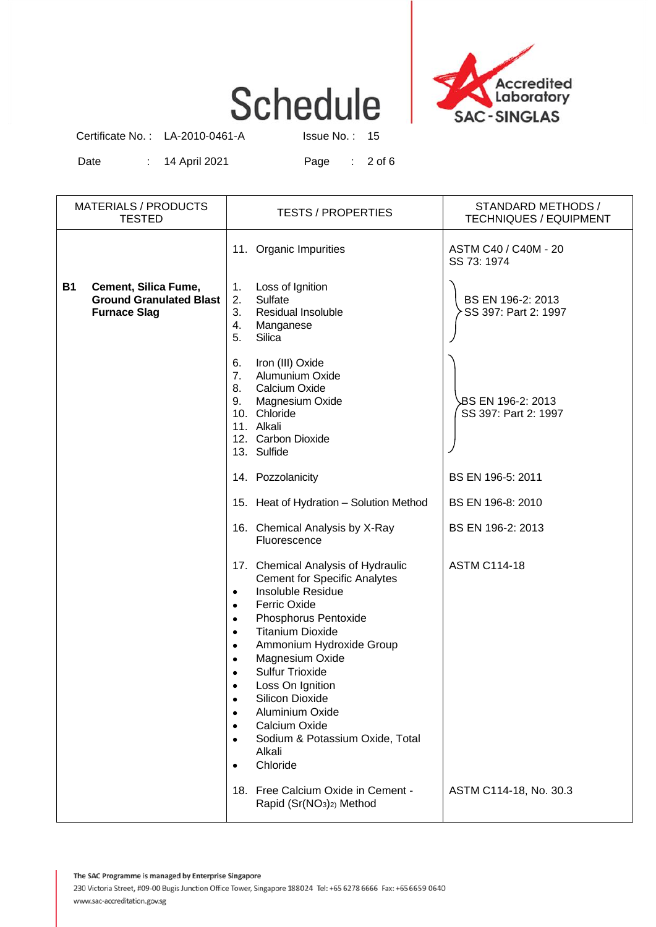

Certificate No. : LA-2010-0461-A Issue No. : 15

Date : 14 April 2021 Page : 2 of 6

| <b>MATERIALS / PRODUCTS</b><br><b>TESTED</b>                                               | <b>TESTS / PROPERTIES</b>                                                                                                                                                                                                                                                                                                                                                                                                                                                                                                            | STANDARD METHODS /<br><b>TECHNIQUES / EQUIPMENT</b> |  |
|--------------------------------------------------------------------------------------------|--------------------------------------------------------------------------------------------------------------------------------------------------------------------------------------------------------------------------------------------------------------------------------------------------------------------------------------------------------------------------------------------------------------------------------------------------------------------------------------------------------------------------------------|-----------------------------------------------------|--|
|                                                                                            | 11. Organic Impurities                                                                                                                                                                                                                                                                                                                                                                                                                                                                                                               | ASTM C40 / C40M - 20<br>SS 73: 1974                 |  |
| Cement, Silica Fume,<br><b>B1</b><br><b>Ground Granulated Blast</b><br><b>Furnace Slag</b> | Loss of Ignition<br>1.<br>2.<br>Sulfate<br>3.<br>Residual Insoluble<br>Manganese<br>4.<br>Silica<br>5.                                                                                                                                                                                                                                                                                                                                                                                                                               | BS EN 196-2: 2013<br>SS 397: Part 2: 1997           |  |
|                                                                                            | Iron (III) Oxide<br>6.<br>Alumunium Oxide<br>7.<br>8.<br>Calcium Oxide<br>Magnesium Oxide<br>9.<br>10. Chloride<br>11. Alkali<br>12. Carbon Dioxide<br>13. Sulfide                                                                                                                                                                                                                                                                                                                                                                   | BS EN 196-2: 2013<br>SS 397: Part 2: 1997           |  |
|                                                                                            | 14. Pozzolanicity                                                                                                                                                                                                                                                                                                                                                                                                                                                                                                                    | BS EN 196-5: 2011                                   |  |
|                                                                                            | 15. Heat of Hydration - Solution Method                                                                                                                                                                                                                                                                                                                                                                                                                                                                                              | BS EN 196-8: 2010                                   |  |
|                                                                                            | 16. Chemical Analysis by X-Ray<br>Fluorescence                                                                                                                                                                                                                                                                                                                                                                                                                                                                                       | BS EN 196-2: 2013                                   |  |
|                                                                                            | 17. Chemical Analysis of Hydraulic<br><b>Cement for Specific Analytes</b><br>Insoluble Residue<br>$\bullet$<br><b>Ferric Oxide</b><br>$\bullet$<br>Phosphorus Pentoxide<br>$\bullet$<br><b>Titanium Dioxide</b><br>$\bullet$<br>Ammonium Hydroxide Group<br>$\bullet$<br>Magnesium Oxide<br>$\bullet$<br><b>Sulfur Trioxide</b><br>$\bullet$<br>Loss On Ignition<br>Silicon Dioxide<br>$\bullet$<br>Aluminium Oxide<br>Calcium Oxide<br>$\bullet$<br>Sodium & Potassium Oxide, Total<br>$\bullet$<br>Alkali<br>Chloride<br>$\bullet$ | <b>ASTM C114-18</b>                                 |  |
|                                                                                            | 18. Free Calcium Oxide in Cement -<br>Rapid (Sr(NO <sub>3</sub> ) <sub>2</sub> ) Method                                                                                                                                                                                                                                                                                                                                                                                                                                              | ASTM C114-18, No. 30.3                              |  |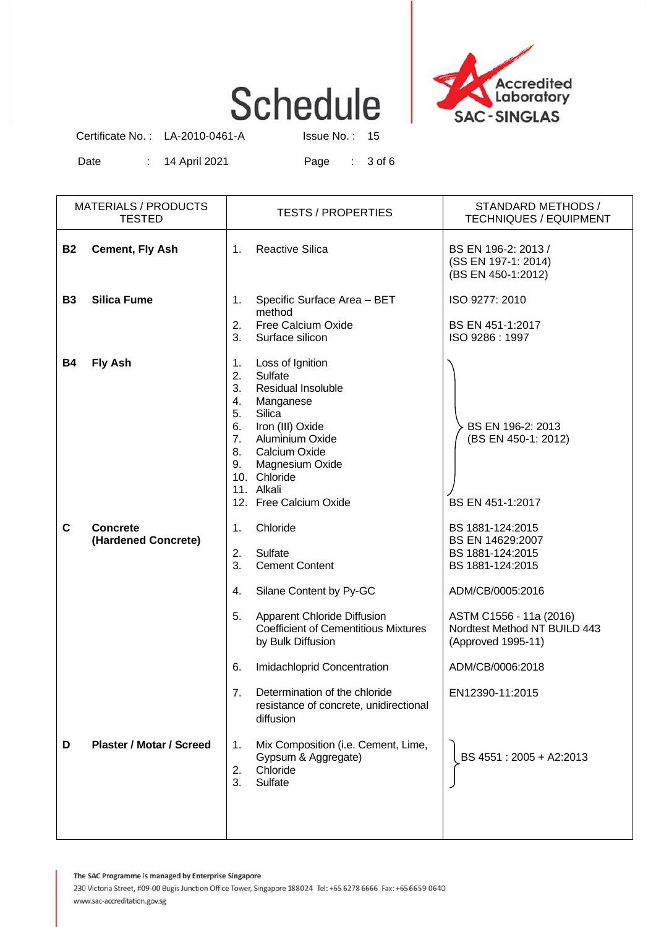

Certificate No. : LA-2010-0461-A Issue No. : 15

Date : 14 April 2021 Page : 3 of 6

|           | <b>MATERIALS / PRODUCTS</b><br><b>TESTED</b> | <b>TESTS / PROPERTIES</b>                                                                                                                                                                                                                                         | STANDARD METHODS /<br><b>TECHNIQUES / EQUIPMENT</b>                                                                                                                               |
|-----------|----------------------------------------------|-------------------------------------------------------------------------------------------------------------------------------------------------------------------------------------------------------------------------------------------------------------------|-----------------------------------------------------------------------------------------------------------------------------------------------------------------------------------|
| <b>B2</b> | <b>Cement, Fly Ash</b>                       | <b>Reactive Silica</b><br>1.                                                                                                                                                                                                                                      | BS EN 196-2: 2013 /<br>(SS EN 197-1: 2014)<br>(BS EN 450-1:2012)                                                                                                                  |
| <b>B3</b> | <b>Silica Fume</b>                           | Specific Surface Area - BET<br>1.<br>method<br>2.<br>Free Calcium Oxide<br>3.<br>Surface silicon                                                                                                                                                                  | ISO 9277: 2010<br>BS EN 451-1:2017<br>ISO 9286: 1997                                                                                                                              |
| <b>B4</b> | <b>Fly Ash</b>                               | Loss of Ignition<br>1.<br>2.<br>Sulfate<br>3.<br>Residual Insoluble<br>4.<br>Manganese<br>5.<br>Silica<br>6.<br>Iron (III) Oxide<br>7.<br>Aluminium Oxide<br>8.<br>Calcium Oxide<br>9.<br>Magnesium Oxide<br>10. Chloride<br>11. Alkali<br>12. Free Calcium Oxide | BS EN 196-2: 2013<br>(BS EN 450-1: 2012)<br>BS EN 451-1:2017                                                                                                                      |
| C         | <b>Concrete</b><br>(Hardened Concrete)       | Chloride<br>1.<br>Sulfate<br>2.<br>3.<br><b>Cement Content</b><br>Silane Content by Py-GC<br>4.<br>5.<br>Apparent Chloride Diffusion<br><b>Coefficient of Cementitious Mixtures</b><br>by Bulk Diffusion                                                          | BS 1881-124:2015<br>BS EN 14629:2007<br>BS 1881-124:2015<br>BS 1881-124:2015<br>ADM/CB/0005:2016<br>ASTM C1556 - 11a (2016)<br>Nordtest Method NT BUILD 443<br>(Approved 1995-11) |
| D         | <b>Plaster / Motar / Screed</b>              | Imidachloprid Concentration<br>6.<br>Determination of the chloride<br>7.<br>resistance of concrete, unidirectional<br>diffusion<br>Mix Composition (i.e. Cement, Lime,<br>1.<br>Gypsum & Aggregate)<br>Chloride<br>2.<br>3.<br>Sulfate                            | ADM/CB/0006:2018<br>EN12390-11:2015<br>BS 4551: 2005 + A2:2013                                                                                                                    |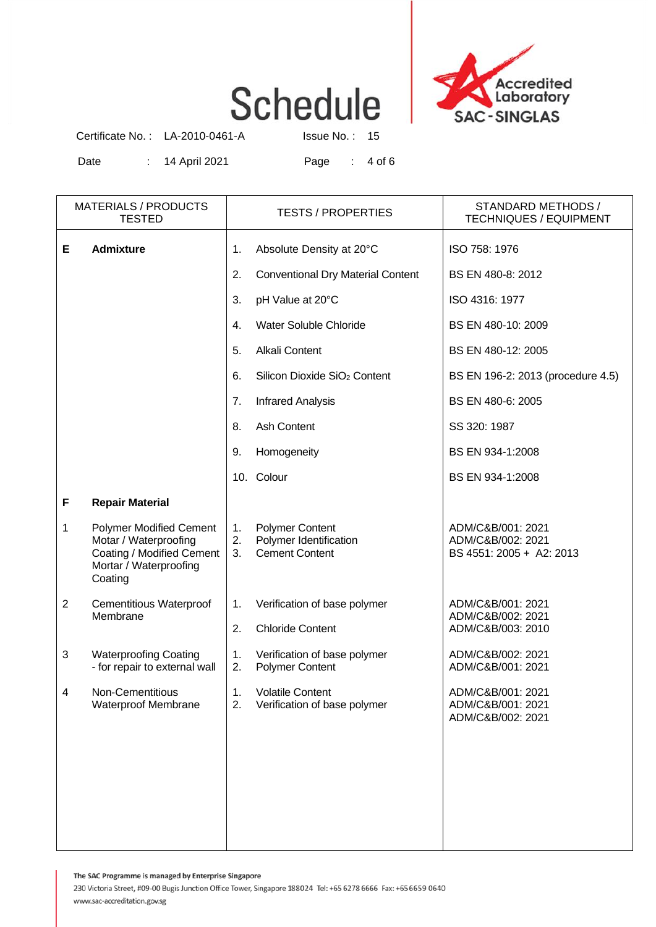

Certificate No. : LA-2010-0461-A Issue No. : 15

Date : 14 April 2021 Page : 4 of 6

|                | <b>MATERIALS / PRODUCTS</b><br><b>TESTED</b>                                                                              | <b>TESTS / PROPERTIES</b> |                                                                           | STANDARD METHODS /<br><b>TECHNIQUES / EQUIPMENT</b>                |
|----------------|---------------------------------------------------------------------------------------------------------------------------|---------------------------|---------------------------------------------------------------------------|--------------------------------------------------------------------|
| Е              | <b>Admixture</b>                                                                                                          | 1.                        | Absolute Density at 20°C                                                  | ISO 758: 1976                                                      |
|                |                                                                                                                           | 2.                        | <b>Conventional Dry Material Content</b>                                  | BS EN 480-8: 2012                                                  |
|                |                                                                                                                           | 3.                        | pH Value at 20°C                                                          | ISO 4316: 1977                                                     |
|                |                                                                                                                           | 4.                        | Water Soluble Chloride                                                    | BS EN 480-10: 2009                                                 |
|                |                                                                                                                           | 5.                        | Alkali Content                                                            | BS EN 480-12: 2005                                                 |
|                |                                                                                                                           | 6.                        | Silicon Dioxide SiO <sub>2</sub> Content                                  | BS EN 196-2: 2013 (procedure 4.5)                                  |
|                |                                                                                                                           | 7.                        | <b>Infrared Analysis</b>                                                  | BS EN 480-6: 2005                                                  |
|                |                                                                                                                           | 8.                        | Ash Content                                                               | SS 320: 1987                                                       |
|                |                                                                                                                           | 9.                        | Homogeneity                                                               | BS EN 934-1:2008                                                   |
|                |                                                                                                                           |                           | 10. Colour                                                                | BS EN 934-1:2008                                                   |
| F              | <b>Repair Material</b>                                                                                                    |                           |                                                                           |                                                                    |
| 1              | <b>Polymer Modified Cement</b><br>Motar / Waterproofing<br>Coating / Modified Cement<br>Mortar / Waterproofing<br>Coating | 1.<br>2.<br>3.            | <b>Polymer Content</b><br>Polymer Identification<br><b>Cement Content</b> | ADM/C&B/001: 2021<br>ADM/C&B/002: 2021<br>BS 4551: 2005 + A2: 2013 |
| $\overline{2}$ | <b>Cementitious Waterproof</b><br>Membrane                                                                                | 1.<br>2.                  | Verification of base polymer<br><b>Chloride Content</b>                   | ADM/C&B/001: 2021<br>ADM/C&B/002: 2021<br>ADM/C&B/003: 2010        |
| 3              | <b>Waterproofing Coating</b><br>- for repair to external wall                                                             | 1.<br>2.                  | Verification of base polymer<br><b>Polymer Content</b>                    | ADM/C&B/002: 2021<br>ADM/C&B/001: 2021                             |
| $\overline{4}$ | Non-Cementitious<br><b>Waterproof Membrane</b>                                                                            | 1.<br>2.                  | <b>Volatile Content</b><br>Verification of base polymer                   | ADM/C&B/001: 2021<br>ADM/C&B/001: 2021<br>ADM/C&B/002: 2021        |

The SAC Programme is managed by Enterprise Singapore

230 Victoria Street, #09-00 Bugis Junction Office Tower, Singapore 188024 Tel: +65 6278 6666 Fax: +65 6659 0640 www.sac-accreditation.gov.sg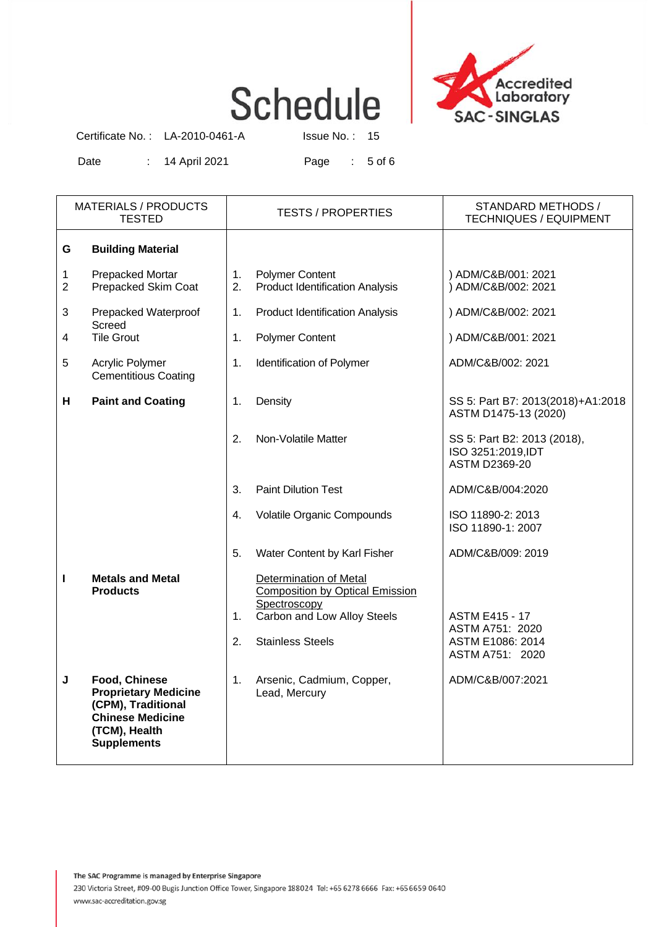

Certificate No. : LA-2010-0461-A Issue No. : 15

Date : 14 April 2021 Page : 5 of 6

|        | <b>MATERIALS / PRODUCTS</b><br><b>TESTED</b>                                                                                                | <b>TESTS / PROPERTIES</b> |                                                                                                                                            | STANDARD METHODS /<br><b>TECHNIQUES / EQUIPMENT</b>                             |  |
|--------|---------------------------------------------------------------------------------------------------------------------------------------------|---------------------------|--------------------------------------------------------------------------------------------------------------------------------------------|---------------------------------------------------------------------------------|--|
| G      | <b>Building Material</b>                                                                                                                    |                           |                                                                                                                                            |                                                                                 |  |
| 1<br>2 | Prepacked Mortar<br>Prepacked Skim Coat                                                                                                     | 1.<br>2.                  | <b>Polymer Content</b><br><b>Product Identification Analysis</b>                                                                           | ) ADM/C&B/001: 2021<br>) ADM/C&B/002: 2021                                      |  |
| 3      | Prepacked Waterproof<br>Screed                                                                                                              | 1.                        | <b>Product Identification Analysis</b>                                                                                                     | ) ADM/C&B/002: 2021                                                             |  |
| 4      | <b>Tile Grout</b>                                                                                                                           | 1.                        | <b>Polymer Content</b>                                                                                                                     | ) ADM/C&B/001: 2021                                                             |  |
| 5      | Acrylic Polymer<br><b>Cementitious Coating</b>                                                                                              | 1.                        | Identification of Polymer                                                                                                                  | ADM/C&B/002: 2021                                                               |  |
| н      | <b>Paint and Coating</b>                                                                                                                    | 1.                        | Density                                                                                                                                    | SS 5: Part B7: 2013(2018)+A1:2018<br>ASTM D1475-13 (2020)                       |  |
|        |                                                                                                                                             | 2.                        | Non-Volatile Matter                                                                                                                        | SS 5: Part B2: 2013 (2018),<br>ISO 3251:2019, IDT<br><b>ASTM D2369-20</b>       |  |
|        |                                                                                                                                             | 3.                        | <b>Paint Dilution Test</b>                                                                                                                 | ADM/C&B/004:2020                                                                |  |
|        |                                                                                                                                             | 4.                        | Volatile Organic Compounds                                                                                                                 | ISO 11890-2: 2013<br>ISO 11890-1: 2007                                          |  |
|        |                                                                                                                                             | 5.                        | Water Content by Karl Fisher                                                                                                               | ADM/C&B/009: 2019                                                               |  |
| ı      | <b>Metals and Metal</b><br><b>Products</b>                                                                                                  | 1.<br>2.                  | Determination of Metal<br><b>Composition by Optical Emission</b><br>Spectroscopy<br>Carbon and Low Alloy Steels<br><b>Stainless Steels</b> | <b>ASTM E415 - 17</b><br>ASTM A751: 2020<br>ASTM E1086: 2014<br>ASTM A751: 2020 |  |
| J      | <b>Food, Chinese</b><br><b>Proprietary Medicine</b><br>(CPM), Traditional<br><b>Chinese Medicine</b><br>(TCM), Health<br><b>Supplements</b> | 1.                        | Arsenic, Cadmium, Copper,<br>Lead, Mercury                                                                                                 | ADM/C&B/007:2021                                                                |  |